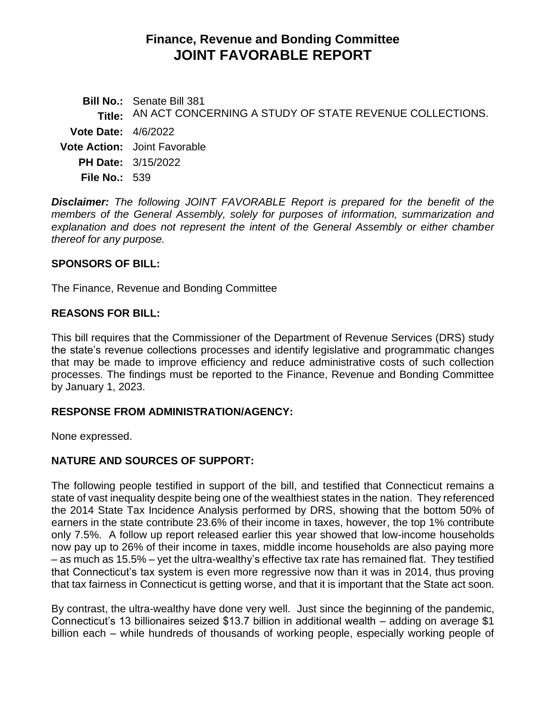# **Finance, Revenue and Bonding Committee JOINT FAVORABLE REPORT**

**Bill No.:** Senate Bill 381 **Title:** AN ACT CONCERNING A STUDY OF STATE REVENUE COLLECTIONS. **Vote Date:** 4/6/2022 **Vote Action:** Joint Favorable **PH Date:** 3/15/2022 **File No.:** 539

*Disclaimer: The following JOINT FAVORABLE Report is prepared for the benefit of the members of the General Assembly, solely for purposes of information, summarization and explanation and does not represent the intent of the General Assembly or either chamber thereof for any purpose.*

#### **SPONSORS OF BILL:**

The Finance, Revenue and Bonding Committee

### **REASONS FOR BILL:**

This bill requires that the Commissioner of the Department of Revenue Services (DRS) study the state's revenue collections processes and identify legislative and programmatic changes that may be made to improve efficiency and reduce administrative costs of such collection processes. The findings must be reported to the Finance, Revenue and Bonding Committee by January 1, 2023.

#### **RESPONSE FROM ADMINISTRATION/AGENCY:**

None expressed.

## **NATURE AND SOURCES OF SUPPORT:**

The following people testified in support of the bill, and testified that Connecticut remains a state of vast inequality despite being one of the wealthiest states in the nation. They referenced the 2014 State Tax Incidence Analysis performed by DRS, showing that the bottom 50% of earners in the state contribute 23.6% of their income in taxes, however, the top 1% contribute only 7.5%. A follow up report released earlier this year showed that low-income households now pay up to 26% of their income in taxes, middle income households are also paying more – as much as 15.5% – yet the ultra-wealthy's effective tax rate has remained flat. They testified that Connecticut's tax system is even more regressive now than it was in 2014, thus proving that tax fairness in Connecticut is getting worse, and that it is important that the State act soon.

By contrast, the ultra-wealthy have done very well. Just since the beginning of the pandemic, Connecticut's 13 billionaires seized \$13.7 billion in additional wealth – adding on average \$1 billion each – while hundreds of thousands of working people, especially working people of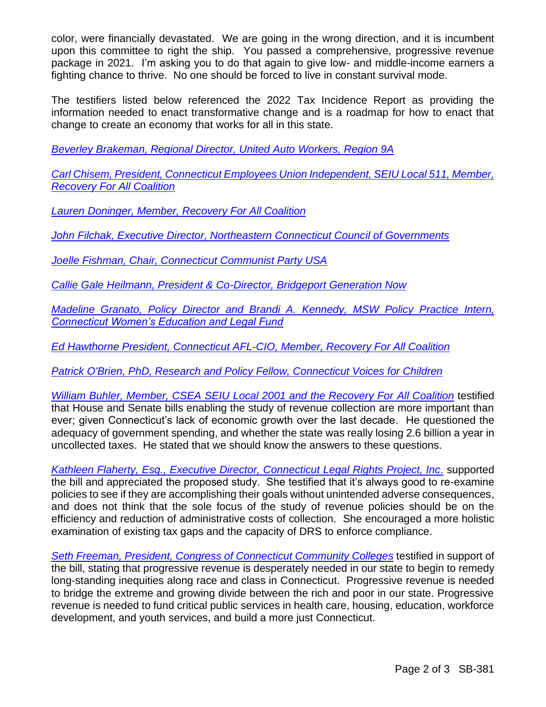color, were financially devastated. We are going in the wrong direction, and it is incumbent upon this committee to right the ship. You passed a comprehensive, progressive revenue package in 2021. I'm asking you to do that again to give low- and middle-income earners a fighting chance to thrive. No one should be forced to live in constant survival mode.

The testifiers listed below referenced the 2022 Tax Incidence Report as providing the information needed to enact transformative change and is a roadmap for how to enact that change to create an economy that works for all in this state.

*[Beverley Brakeman, Regional Director, United Auto Workers, Region 9A](https://cga.ct.gov/2022/FINdata/Tmy/2022SB-00381-R000315-Brakeman,%20Beverley,%20Regional%20Director,%20United%20Auto%20Workers,%20Region%209A%20-%20Support-TMY.PDF)*

*[Carl Chisem, President, Connecticut Employees Union Independent, SEIU Local 511, Member,](https://cga.ct.gov/2022/FINdata/Tmy/2022SB-00381-R000315-Chisem,%20Carl,%20President,%20CEUI,%20SEIU%20Local%20511,%20Member,%20Recovery%20For%20All%20Coalition%20-%20Support-TMY.PDF)  [Recovery For All Coalition](https://cga.ct.gov/2022/FINdata/Tmy/2022SB-00381-R000315-Chisem,%20Carl,%20President,%20CEUI,%20SEIU%20Local%20511,%20Member,%20Recovery%20For%20All%20Coalition%20-%20Support-TMY.PDF)*

*[Lauren Doninger, Member, Recovery For All Coalition](https://cga.ct.gov/2022/FINdata/Tmy/2022SB-00381-R000315-Doninger,%20Lauren,%20Member,%20Recovery%20For%20All%20Coalition%20-%20Support-TMY.PDF)*

*[John Filchak, Executive Director, Northeastern Connecticut Council of Governments](https://cga.ct.gov/2022/FINdata/Tmy/2022SB-00381-R000315-Filchak,%20John,%20Executive%20Director,%20Northeastern%20Connecticut%20Council%20of%20Governments%20-%20Support-TMY.PDF)*

*[Joelle Fishman, Chair, Connecticut Communist Party USA](https://cga.ct.gov/2022/FINdata/Tmy/2022SB-00381-R000315-Fishman,%20Joelle,%20Chair,%20Connecticut%20Communist%20Party%20USA%20-%20Support-TMY.PDF)*

*[Callie Gale Heilmann, President & Co-Director, Bridgeport Generation Now](https://cga.ct.gov/2022/FINdata/Tmy/2022SB-00381-R000315-Gale%20Helimann,%20Callie,%20President%20and%20Co-Director,%20Bridgeport%20Generation%20Now%20-%20Support-TMY.PDF)*

*[Madeline Granato, Policy Director and Brandi A. Kennedy, MSW Policy Practice Intern,](https://cga.ct.gov/2022/FINdata/Tmy/2022SB-00381-R000315-Granato,%20Madeline,%20Policy%20Director,%20Connecticut%20Women%27s%20Education%20and%20Legal%20Fund%20-%20Support-TMY.PDF)  [Connecticut Women's Education and Legal Fund](https://cga.ct.gov/2022/FINdata/Tmy/2022SB-00381-R000315-Granato,%20Madeline,%20Policy%20Director,%20Connecticut%20Women%27s%20Education%20and%20Legal%20Fund%20-%20Support-TMY.PDF)*

*[Ed Hawthorne President, Connecticut AFL-CIO, Member, Recovery For All Coalition](https://cga.ct.gov/2022/FINdata/Tmy/2022SB-00381-R000315-Hawthorne,%20Ed,%20President,%20Connecticut%20AFL-CIO,%20Member,%20Recovery%20For%20All%20Coalition%20-%20Support-TMY.PDF)*

*[Patrick O'Brien, PhD, Research and Policy Fellow, Connecticut Voices for Children](https://cga.ct.gov/2022/FINdata/Tmy/2022SB-00381-R000315-O%27Brien,%20Patrick,%20PhD,%20Research%20and%20Policy%20Fellow,%20Connecticut%20Voices%20for%20Children%20-%20Support-TMY.PDF)*

*[William Buhler, Member, CSEA SEIU Local 2001 and the Recovery For](https://cga.ct.gov/2022/FINdata/Tmy/2022SB-00381-R000315-Buhler,%20William,%20Member,%20CSEA%20and%20Recovery%20For%20All%20-%20Support-TMY.PDF) All Coalition* testified that House and Senate bills enabling the study of revenue collection are more important than ever; given Connecticut's lack of economic growth over the last decade. He questioned the adequacy of government spending, and whether the state was really losing 2.6 billion a year in uncollected taxes. He stated that we should know the answers to these questions.

*Kathleen Flaherty, Esq., [Executive Director, Connecticut](https://cga.ct.gov/2022/FINdata/Tmy/2022SB-00381-R000315-Flaherty,%20Kathleen,%20Executive%20Director,%20Connecticut%20Legal%20Rights%20Project,%20Inc.%20-%20Support-Neutral-TMY.PDF) Legal Rights Project, Inc*. supported the bill and appreciated the proposed study. She testified that it's always good to re-examine policies to see if they are accomplishing their goals without unintended adverse consequences, and does not think that the sole focus of the study of revenue policies should be on the efficiency and reduction of administrative costs of collection. She encouraged a more holistic examination of existing tax gaps and the capacity of DRS to enforce compliance.

*[Seth Freeman, President, Congress of Connecticut Community Colleges](https://cga.ct.gov/2022/FINdata/Tmy/2022SB-00381-R000315-Freeman,%20Seth,%20President,%20Congress%20of%20Connecticut%20Community%20Colleges%20-%20Support-TMY.PDF)* testified in support of the bill, stating that progressive revenue is desperately needed in our state to begin to remedy long‐standing inequities along race and class in Connecticut. Progressive revenue is needed to bridge the extreme and growing divide between the rich and poor in our state. Progressive revenue is needed to fund critical public services in health care, housing, education, workforce development, and youth services, and build a more just Connecticut.